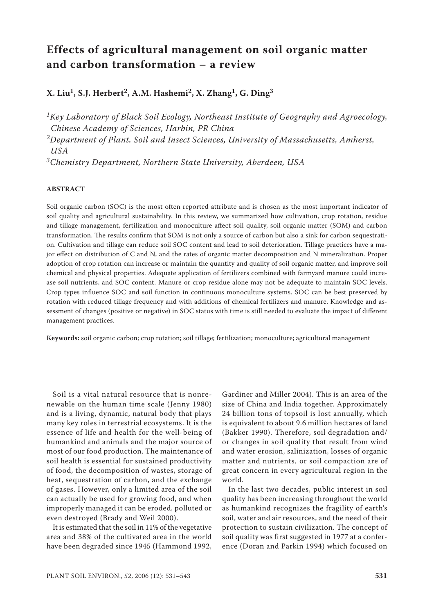# **Effects of agricultural management on soil organic matter and carbon transformation – a review**

## **X. Liu1, S.J. Herbert2, A.M. Hashemi2, X. Zhang1, G. Ding3**

*1Key Laboratory of Black Soil Ecology, Northeast Institute of Geography and Agroecology, Chinese Academy of Sciences, Harbin, PR China*

*2Department of Plant, Soil and Insect Sciences, University of Massachusetts, Amherst, USA*

*3Chemistry Department, Northern State University, Aberdeen, USA*

## **ABSTRACT**

Soil organic carbon (SOC) is the most often reported attribute and is chosen as the most important indicator of soil quality and agricultural sustainability. In this review, we summarized how cultivation, crop rotation, residue and tillage management, fertilization and monoculture affect soil quality, soil organic matter (SOM) and carbon transformation. The results confirm that SOM is not only a source of carbon but also a sink for carbon sequestration. Cultivation and tillage can reduce soil SOC content and lead to soil deterioration. Tillage practices have a major effect on distribution of C and N, and the rates of organic matter decomposition and N mineralization. Proper adoption of crop rotation can increase or maintain the quantity and quality of soil organic matter, and improve soil chemical and physical properties. Adequate application of fertilizers combined with farmyard manure could increase soil nutrients, and SOC content. Manure or crop residue alone may not be adequate to maintain SOC levels. Crop types influence SOC and soil function in continuous monoculture systems. SOC can be best preserved by rotation with reduced tillage frequency and with additions of chemical fertilizers and manure. Knowledge and assessment of changes (positive or negative) in SOC status with time is still needed to evaluate the impact of different management practices.

**Keywords:** soil organic carbon; crop rotation; soil tillage; fertilization; monoculture; agricultural management

Soil is a vital natural resource that is nonrenewable on the human time scale (Jenny 1980) and is a living, dynamic, natural body that plays many key roles in terrestrial ecosystems. It is the essence of life and health for the well-being of humankind and animals and the major source of most of our food production. The maintenance of soil health is essential for sustained productivity of food, the decomposition of wastes, storage of heat, sequestration of carbon, and the exchange of gases. However, only a limited area of the soil can actually be used for growing food, and when improperly managed it can be eroded, polluted or even destroyed (Brady and Weil 2000).

It is estimated that the soil in 11% of the vegetative area and 38% of the cultivated area in the world have been degraded since 1945 (Hammond 1992,

Gardiner and Miller 2004). This is an area of the size of China and India together. Approximately 24 billion tons of topsoil is lost annually, which is equivalent to about 9.6 million hectares of land (Bakker 1990). Therefore, soil degradation and/ or changes in soil quality that result from wind and water erosion, salinization, losses of organic matter and nutrients, or soil compaction are of great concern in every agricultural region in the world.

In the last two decades, public interest in soil quality has been increasing throughout the world as humankind recognizes the fragility of earth's soil, water and air resources, and the need of their protection to sustain civilization. The concept of soil quality was first suggested in 1977 at a conference (Doran and Parkin 1994) which focused on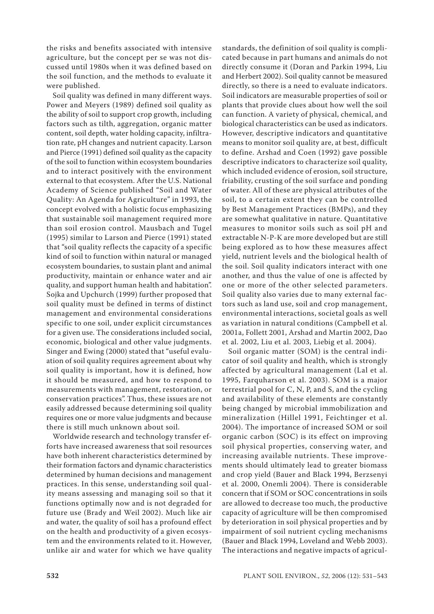the risks and benefits associated with intensive agriculture, but the concept per se was not discussed until 1980s when it was defined based on the soil function, and the methods to evaluate it were published.

Soil quality was defined in many different ways. Power and Meyers (1989) defined soil quality as the ability of soil to support crop growth, including factors such as tilth, aggregation, organic matter content, soil depth, water holding capacity, infiltration rate, pH changes and nutrient capacity. Larson and Pierce (1991) defined soil quality as the capacity of the soil to function within ecosystem boundaries and to interact positively with the environment external to that ecosystem. After the U.S. National Academy of Science published "Soil and Water Quality: An Agenda for Agriculture" in 1993, the concept evolved with a holistic focus emphasizing that sustainable soil management required more than soil erosion control. Mausbach and Tugel (1995) similar to Larson and Pierce (1991) stated that "soil quality reflects the capacity of a specific kind of soil to function within natural or managed ecosystem boundaries, to sustain plant and animal productivity, maintain or enhance water and air quality, and support human health and habitation". Sojka and Upchurch (1999) further proposed that soil quality must be defined in terms of distinct management and environmental considerations specific to one soil, under explicit circumstances for a given use. The considerations included social, economic, biological and other value judgments. Singer and Ewing (2000) stated that "useful evaluation of soil quality requires agreement about why soil quality is important, how it is defined, how it should be measured, and how to respond to measurements with management, restoration, or conservation practices". Thus, these issues are not easily addressed because determining soil quality requires one or more value judgments and because there is still much unknown about soil.

Worldwide research and technology transfer efforts have increased awareness that soil resources have both inherent characteristics determined by their formation factors and dynamic characteristics determined by human decisions and management practices. In this sense, understanding soil quality means assessing and managing soil so that it functions optimally now and is not degraded for future use (Brady and Weil 2002). Much like air and water, the quality of soil has a profound effect on the health and productivity of a given ecosystem and the environments related to it. However, unlike air and water for which we have quality standards, the definition of soil quality is complicated because in part humans and animals do not directly consume it (Doran and Parkin 1994, Liu and Herbert 2002). Soil quality cannot be measured directly, so there is a need to evaluate indicators. Soil indicators are measurable properties of soil or plants that provide clues about how well the soil can function. A variety of physical, chemical, and biological characteristics can be used as indicators. However, descriptive indicators and quantitative means to monitor soil quality are, at best, difficult to define. Arshad and Coen (1992) gave possible descriptive indicators to characterize soil quality, which included evidence of erosion, soil structure, friability, crusting of the soil surface and ponding of water. All of these are physical attributes of the soil, to a certain extent they can be controlled by Best Management Practices (BMPs), and they are somewhat qualitative in nature. Quantitative measures to monitor soils such as soil pH and extractable N-P-K are more developed but are still being explored as to how these measures affect yield, nutrient levels and the biological health of the soil. Soil quality indicators interact with one another, and thus the value of one is affected by one or more of the other selected parameters. Soil quality also varies due to many external factors such as land use, soil and crop management, environmental interactions, societal goals as well as variation in natural conditions (Campbell et al. 2001a, Follett 2001, Arshad and Martin 2002, Dao et al. 2002, Liu et al. 2003, Liebig et al. 2004).

Soil organic matter (SOM) is the central indicator of soil quality and health, which is strongly affected by agricultural management (Lal et al. 1995, Farquharson et al. 2003). SOM is a major terrestrial pool for C, N, P, and S, and the cycling and availability of these elements are constantly being changed by microbial immobilization and mineralization (Hillel 1991, Feichtinger et al. 2004). The importance of increased SOM or soil organic carbon (SOC) is its effect on improving soil physical properties, conserving water, and increasing available nutrients. These improvements should ultimately lead to greater biomass and crop yield (Bauer and Black 1994, Berzsenyi et al. 2000, Onemli 2004). There is considerable concern that if SOM or SOC concentrations in soils are allowed to decrease too much, the productive capacity of agriculture will be then compromised by deterioration in soil physical properties and by impairment of soil nutrient cycling mechanisms (Bauer and Black 1994, Loveland and Webb 2003). The interactions and negative impacts of agricul-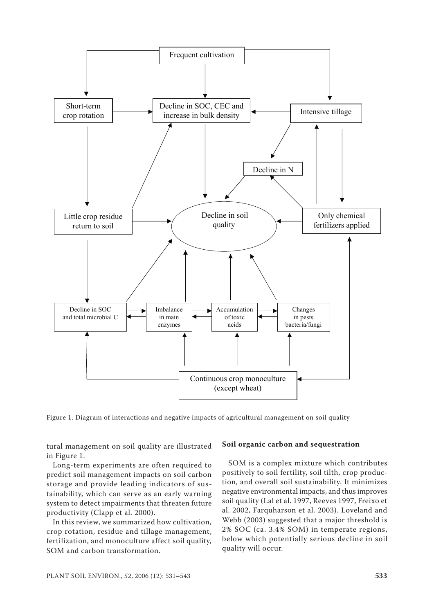

Figure 1. Diagram of interactions and negative impacts of agricultural management on soil quality

tural management on soil quality are illustrated in Figure 1.

Long-term experiments are often required to predict soil management impacts on soil carbon storage and provide leading indicators of sustainability, which can serve as an early warning system to detect impairments that threaten future productivity (Clapp et al. 2000).

In this review, we summarized how cultivation, crop rotation, residue and tillage management, fertilization, and monoculture affect soil quality, SOM and carbon transformation.

#### **Soil organic carbon and sequestration**

SOM is a complex mixture which contributes positively to soil fertility, soil tilth, crop production, and overall soil sustainability. It minimizes negative environmental impacts, and thus improves soil quality (Lal et al. 1997, Reeves 1997, Freixo et al. 2002, Farquharson et al. 2003). Loveland and Webb (2003) suggested that a major threshold is 2% SOC (ca. 3.4% SOM) in temperate regions, below which potentially serious decline in soil quality will occur.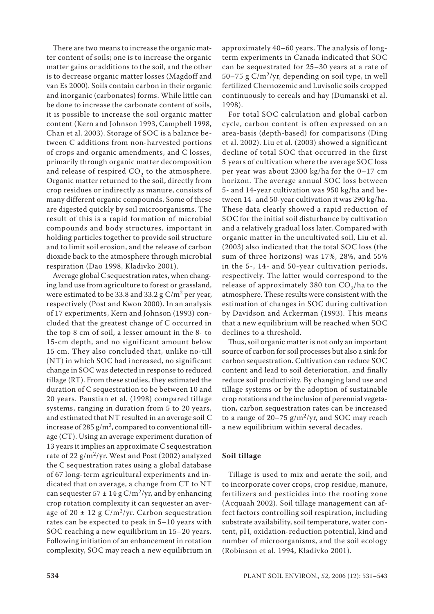There are two means to increase the organic matter content of soils; one is to increase the organic matter gains or additions to the soil, and the other is to decrease organic matter losses (Magdoff and van Es 2000). Soils contain carbon in their organic and inorganic (carbonates) forms. While little can be done to increase the carbonate content of soils, it is possible to increase the soil organic matter content (Kern and Johnson 1993, Campbell 1998, Chan et al. 2003). Storage of SOC is a balance between C additions from non-harvested portions of crops and organic amendments, and C losses, primarily through organic matter decomposition and release of respired  $CO<sub>2</sub>$  to the atmosphere. Organic matter returned to the soil, directly from crop residues or indirectly as manure, consists of many different organic compounds. Some of these are digested quickly by soil microorganisms. The result of this is a rapid formation of microbial compounds and body structures, important in holding particles together to provide soil structure and to limit soil erosion, and the release of carbon dioxide back to the atmosphere through microbial respiration (Dao 1998, Kladivko 2001).

Average global C sequestration rates, when changing land use from agriculture to forest or grassland, were estimated to be 33.8 and 33.2 g  $C/m^2$  per year, respectively (Post and Kwon 2000). In an analysis of 17 experiments, Kern and Johnson (1993) concluded that the greatest change of C occurred in the top 8 cm of soil, a lesser amount in the 8- to 15-cm depth, and no significant amount below 15 cm. They also concluded that, unlike no-till (NT) in which SOC had increased, no significant change in SOC was detected in response to reduced tillage (RT). From these studies, they estimated the duration of C sequestration to be between 10 and 20 years. Paustian et al. (1998) compared tillage systems, ranging in duration from 5 to 20 years, and estimated that NT resulted in an average soil C increase of 285 g/m<sup>2</sup>, compared to conventional tillage (CT). Using an average experiment duration of 13 years it implies an approximate C sequestration rate of 22  $g/m^2/yr$ . West and Post (2002) analyzed the C sequestration rates using a global database of 67 long-term agricultural experiments and indicated that on average, a change from CT to NT can sequester  $57 \pm 14$  g C/m<sup>2</sup>/yr, and by enhancing crop rotation complexity it can sequester an average of 20  $\pm$  12 g C/m<sup>2</sup>/yr. Carbon sequestration rates can be expected to peak in 5–10 years with SOC reaching a new equilibrium in 15–20 years. Following initiation of an enhancement in rotation complexity, SOC may reach a new equilibrium in

approximately 40–60 years. The analysis of longterm experiments in Canada indicated that SOC can be sequestrated for 25–30 years at a rate of 50–75 g  $C/m^2/yr$ , depending on soil type, in well fertilized Chernozemic and Luvisolic soils cropped continuously to cereals and hay (Dumanski et al. 1998).

For total SOC calculation and global carbon cycle, carbon content is often expressed on an area-basis (depth-based) for comparisons (Ding et al. 2002). Liu et al. (2003) showed a significant decline of total SOC that occurred in the first 5 years of cultivation where the average SOC loss per year was about 2300 kg/ha for the 0–17 cm horizon. The average annual SOC loss between 5- and 14-year cultivation was 950 kg/ha and between 14- and 50-year cultivation it was 290 kg/ha. These data clearly showed a rapid reduction of SOC for the initial soil disturbance by cultivation and a relatively gradual loss later. Compared with organic matter in the uncultivated soil, Liu et al. (2003) also indicated that the total SOC loss (the sum of three horizons) was 17%, 28%, and 55% in the 5-, 14- and 50-year cultivation periods, respectively. The latter would correspond to the release of approximately 380 ton  $CO<sub>2</sub>/h$ a to the atmosphere. These results were consistent with the estimation of changes in SOC during cultivation by Davidson and Ackerman (1993). This means that a new equilibrium will be reached when SOC declines to a threshold.

Thus, soil organic matter is not only an important source of carbon for soil processes but also a sink for carbon sequestration. Cultivation can reduce SOC content and lead to soil deterioration, and finally reduce soil productivity. By changing land use and tillage systems or by the adoption of sustainable crop rotations and the inclusion of perennial vegetation, carbon sequestration rates can be increased to a range of  $20-75$  g/m<sup>2</sup>/yr, and SOC may reach a new equilibrium within several decades.

## **Soil tillage**

Tillage is used to mix and aerate the soil, and to incorporate cover crops, crop residue, manure, fertilizers and pesticides into the rooting zone (Acquaah 2002). Soil tillage management can affect factors controlling soil respiration, including substrate availability, soil temperature, water content, pH, oxidation-reduction potential, kind and number of microorganisms, and the soil ecology (Robinson et al. 1994, Kladivko 2001).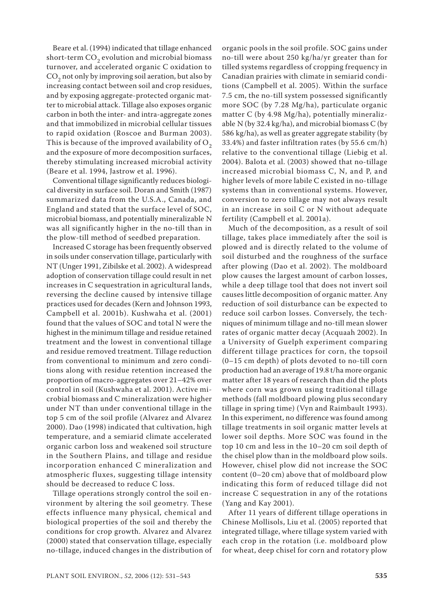Beare et al. (1994) indicated that tillage enhanced short-term  $CO<sub>2</sub>$  evolution and microbial biomass turnover, and accelerated organic C oxidation to  $CO<sub>2</sub>$  not only by improving soil aeration, but also by increasing contact between soil and crop residues, and by exposing aggregate-protected organic matter to microbial attack. Tillage also exposes organic carbon in both the inter- and intra-aggregate zones and that immobilized in microbial cellular tissues to rapid oxidation (Roscoe and Burman 2003). This is because of the improved availability of  $O<sub>2</sub>$ and the exposure of more decomposition surfaces, thereby stimulating increased microbial activity (Beare et al. 1994, Jastrow et al. 1996).

Conventional tillage significantly reduces biological diversity in surface soil. Doran and Smith (1987) summarized data from the U.S.A., Canada, and England and stated that the surface level of SOC, microbial biomass, and potentially mineralizable N was all significantly higher in the no-till than in the plow-till method of seedbed preparation.

Increased C storage has been frequently observed in soils under conservation tillage, particularly with NT (Unger 1991, Zibilske et al. 2002). A widespread adoption of conservation tillage could result in net increases in C sequestration in agricultural lands, reversing the decline caused by intensive tillage practices used for decades (Kern and Johnson 1993, Campbell et al. 2001b). Kushwaha et al. (2001) found that the values of SOC and total N were the highest in the minimum tillage and residue retained treatment and the lowest in conventional tillage and residue removed treatment. Tillage reduction from conventional to minimum and zero conditions along with residue retention increased the proportion of macro-aggregates over 21–42% over control in soil (Kushwaha et al. 2001). Active microbial biomass and C mineralization were higher under NT than under conventional tillage in the top 5 cm of the soil profile (Alvarez and Alvarez 2000). Dao (1998) indicated that cultivation, high temperature, and a semiarid climate accelerated organic carbon loss and weakened soil structure in the Southern Plains, and tillage and residue incorporation enhanced C mineralization and atmospheric fluxes, suggesting tillage intensity should be decreased to reduce C loss.

Tillage operations strongly control the soil environment by altering the soil geometry. These effects influence many physical, chemical and biological properties of the soil and thereby the conditions for crop growth. Alvarez and Alvarez (2000) stated that conservation tillage, especially no-tillage, induced changes in the distribution of

organic pools in the soil profile. SOC gains under no-till were about 250 kg/ha/yr greater than for tilled systems regardless of cropping frequency in Canadian prairies with climate in semiarid conditions (Campbell et al. 2005). Within the surface 7.5 cm, the no-till system possessed significantly more SOC (by 7.28 Mg/ha), particulate organic matter C (by 4.98 Mg/ha), potentially mineralizable N (by 32.4 kg/ha), and microbial biomass C (by 586 kg/ha), as well as greater aggregate stability (by 33.4%) and faster infiltration rates (by 55.6 cm/h) relative to the conventional tillage (Liebig et al. 2004). Balota et al. (2003) showed that no-tillage increased microbial biomass C, N, and P, and higher levels of more labile C existed in no-tillage systems than in conventional systems. However, conversion to zero tillage may not always result in an increase in soil C or N without adequate fertility (Campbell et al. 2001a).

Much of the decomposition, as a result of soil tillage, takes place immediately after the soil is plowed and is directly related to the volume of soil disturbed and the roughness of the surface after plowing (Dao et al. 2002). The moldboard plow causes the largest amount of carbon losses, while a deep tillage tool that does not invert soil causes little decomposition of organic matter. Any reduction of soil disturbance can be expected to reduce soil carbon losses. Conversely, the techniques of minimum tillage and no-till mean slower rates of organic matter decay (Acquaah 2002). In a University of Guelph experiment comparing different tillage practices for corn, the topsoil (0–15 cm depth) of plots devoted to no-till corn production had an average of 19.8 t/ha more organic matter after 18 years of research than did the plots where corn was grown using traditional tillage methods (fall moldboard plowing plus secondary tillage in spring time) (Vyn and Raimbault 1993). In this experiment, no difference was found among tillage treatments in soil organic matter levels at lower soil depths. More SOC was found in the top 10 cm and less in the 10–20 cm soil depth of the chisel plow than in the moldboard plow soils. However, chisel plow did not increase the SOC content (0–20 cm) above that of moldboard plow indicating this form of reduced tillage did not increase C sequestration in any of the rotations (Yang and Kay 2001).

After 11 years of different tillage operations in Chinese Mollisols, Liu et al. (2005) reported that integrated tillage, where tillage system varied with each crop in the rotation (i.e. moldboard plow for wheat, deep chisel for corn and rotatory plow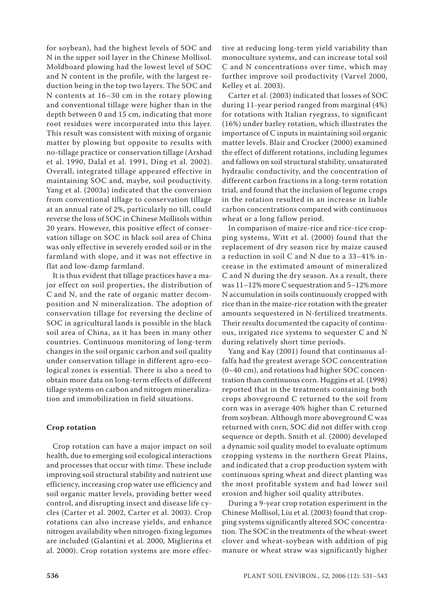for soybean), had the highest levels of SOC and N in the upper soil layer in the Chinese Mollisol. Moldboard plowing had the lowest level of SOC and N content in the profile, with the largest reduction being in the top two layers. The SOC and N contents at 16–30 cm in the rotary plowing and conventional tillage were higher than in the depth between 0 and 15 cm, indicating that more root residues were incorporated into this layer. This result was consistent with mixing of organic matter by plowing but opposite to results with no-tillage practice or conservation tillage (Arshad et al. 1990, Dalal et al. 1991, Ding et al. 2002). Overall, integrated tillage appeared effective in maintaining SOC and, maybe, soil productivity. Yang et al. (2003a) indicated that the conversion from conventional tillage to conservation tillage at an annual rate of 2%, particularly no till, could reverse the loss of SOC in Chinese Mollisols within 20 years. However, this positive effect of conservation tillage on SOC in black soil area of China was only effective in severely eroded soil or in the farmland with slope, and it was not effective in flat and low-damp farmland.

It is thus evident that tillage practices have a major effect on soil properties, the distribution of C and N, and the rate of organic matter decomposition and N mineralization. The adoption of conservation tillage for reversing the decline of SOC in agricultural lands is possible in the black soil area of China, as it has been in many other countries. Continuous monitoring of long-term changes in the soil organic carbon and soil quality under conservation tillage in different agro-ecological zones is essential. There is also a need to obtain more data on long-term effects of different tillage systems on carbon and nitrogen mineralization and immobilization in field situations.

## **Crop rotation**

Crop rotation can have a major impact on soil health, due to emerging soil ecological interactions and processes that occur with time. These include improving soil structural stability and nutrient use efficiency, increasing crop water use efficiency and soil organic matter levels, providing better weed control, and disrupting insect and disease life cycles (Carter et al. 2002, Carter et al. 2003). Crop rotations can also increase yields, and enhance nitrogen availability when nitrogen-fixing legumes are included (Galantini et al. 2000, Miglierina et al. 2000). Crop rotation systems are more effective at reducing long-term yield variability than monoculture systems, and can increase total soil C and N concentrations over time, which may further improve soil productivity (Varvel 2000, Kelley et al. 2003).

Carter et al. (2003) indicated that losses of SOC during 11-year period ranged from marginal (4%) for rotations with Italian ryegrass, to significant (16%) under barley rotation, which illustrates the importance of C inputs in maintaining soil organic matter levels. Blair and Crocker (2000) examined the effect of different rotations, including legumes and fallows on soil structural stability, unsaturated hydraulic conductivity, and the concentration of different carbon fractions in a long-term rotation trial, and found that the inclusion of legume crops in the rotation resulted in an increase in liable carbon concentrations compared with continuous wheat or a long fallow period.

In comparison of maize-rice and rice-rice cropping systems, Witt et al. (2000) found that the replacement of dry season rice by maize caused a reduction in soil C and N due to a 33–41% increase in the estimated amount of mineralized C and N during the dry season. As a result, there was 11–12% more C sequestration and 5–12% more N accumulation in soils continuously cropped with rice than in the maize-rice rotation with the greater amounts sequestered in N-fertilized treatments. Their results documented the capacity of continuous, irrigated rice systems to sequester C and N during relatively short time periods.

Yang and Kay (2001) found that continuous alfalfa had the greatest average SOC concentration (0–40 cm), and rotations had higher SOC concentration than continuous corn. Huggins et al. (1998) reported that in the treatments containing both crops aboveground C returned to the soil from corn was in average 40% higher than C returned from soybean. Although more aboveground C was returned with corn, SOC did not differ with crop sequence or depth. Smith et al. (2000) developed a dynamic soil quality model to evaluate optimum cropping systems in the northern Great Plains, and indicated that a crop production system with continuous spring wheat and direct planting was the most profitable system and had lower soil erosion and higher soil quality attributes.

During a 9-year crop rotation experiment in the Chinese Mollisol, Liu et al. (2003) found that cropping systems significantly altered SOC concentration. The SOC in the treatments of the wheat-sweet clover and wheat-soybean with addition of pig manure or wheat straw was significantly higher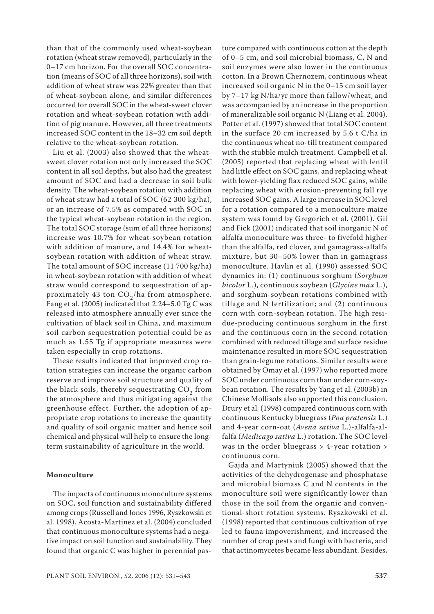than that of the commonly used wheat-soybean rotation (wheat straw removed), particularly in the 0–17 cm horizon. For the overall SOC concentration (means of SOC of all three horizons), soil with addition of wheat straw was 22% greater than that of wheat-soybean alone, and similar differences occurred for overall SOC in the wheat-sweet clover rotation and wheat-soybean rotation with addition of pig manure. However, all three treatments increased SOC content in the 18–32 cm soil depth relative to the wheat-soybean rotation.

Liu et al. (2003) also showed that the wheatsweet clover rotation not only increased the SOC content in all soil depths, but also had the greatest amount of SOC and had a decrease in soil bulk density. The wheat-soybean rotation with addition of wheat straw had a total of SOC (62 300 kg/ha), or an increase of 7.5% as compared with SOC in the typical wheat-soybean rotation in the region. The total SOC storage (sum of all three horizons) increase was 10.7% for wheat-soybean rotation with addition of manure, and 14.4% for wheatsoybean rotation with addition of wheat straw. The total amount of SOC increase (11 700 kg/ha) in wheat-soybean rotation with addition of wheat straw would correspond to sequestration of approximately 43 ton  $CO_2/h$ a from atmosphere. Fang et al. (2005) indicated that 2.24–5.0 Tg C was released into atmosphere annually ever since the cultivation of black soil in China, and maximum soil carbon sequestration potential could be as much as 1.55 Tg if appropriate measures were taken especially in crop rotations.

These results indicated that improved crop rotation strategies can increase the organic carbon reserve and improve soil structure and quality of the black soils, thereby sequestrating  $CO<sub>2</sub>$  from the atmosphere and thus mitigating against the greenhouse effect. Further, the adoption of appropriate crop rotations to increase the quantity and quality of soil organic matter and hence soil chemical and physical will help to ensure the longterm sustainability of agriculture in the world.

#### **Monoculture**

The impacts of continuous monoculture systems on SOC, soil function and sustainability differed among crops (Russell and Jones 1996, Ryszkowski et al. 1998). Acosta-Martinez et al. (2004) concluded that continuous monoculture systems had a negative impact on soil function and sustainability. They found that organic C was higher in perennial pasture compared with continuous cotton at the depth of 0–5 cm, and soil microbial biomass, C, N and soil enzymes were also lower in the continuous cotton. In a Brown Chernozem, continuous wheat increased soil organic N in the 0–15 cm soil layer by 7–17 kg N/ha/yr more than fallow/wheat, and was accompanied by an increase in the proportion of mineralizable soil organic N (Liang et al. 2004). Potter et al. (1997) showed that total SOC content in the surface 20 cm increased by 5.6 t C/ha in the continuous wheat no-till treatment compared with the stubble mulch treatment. Campbell et al. (2005) reported that replacing wheat with lentil had little effect on SOC gains, and replacing wheat with lower-yielding flax reduced SOC gains, while replacing wheat with erosion-preventing fall rye increased SOC gains. A large increase in SOC level for a rotation compared to a monoculture maize system was found by Gregorich et al. (2001). Gil and Fick (2001) indicated that soil inorganic N of alfalfa monoculture was three- to fivefold higher than the alfalfa, red clover, and gamagrass-alfalfa mixture, but 30–50% lower than in gamagrass monoculture. Havlin et al. (1990) assessed SOC dynamics in: (1) continuous sorghum (*Sorghum bicolor* L.), continuous soybean (*Glycine max* L.), and sorghum-soybean rotations combined with tillage and N fertilization; and (2) continuous corn with corn-soybean rotation. The high residue-producing continuous sorghum in the first and the continuous corn in the second rotation combined with reduced tillage and surface residue maintenance resulted in more SOC sequestration than grain-legume rotations. Similar results were obtained by Omay et al. (1997) who reported more SOC under continuous corn than under corn-soybean rotation. The results by Yang et al. (2003b) in Chinese Mollisols also supported this conclusion. Drury et al. (1998) compared continuous corn with continuous Kentucky bluegrass (*Poa pratensis* L.) and 4-year corn-oat (*Avena sativa* L.)-alfalfa-alfalfa (*Medicago sativa* L.) rotation. The SOC level was in the order bluegrass > 4-year rotation > continuous corn.

Gajda and Martyniuk (2005) showed that the activities of the dehydrogenase and phosphatase and microbial biomass C and N contents in the monoculture soil were significantly lower than those in the soil from the organic and conventional-short rotation systems. Ryszkowski et al. (1998) reported that continuous cultivation of rye led to fauna impoverishment, and increased the number of crop pests and fungi with bacteria, and that actinomycetes became less abundant. Besides,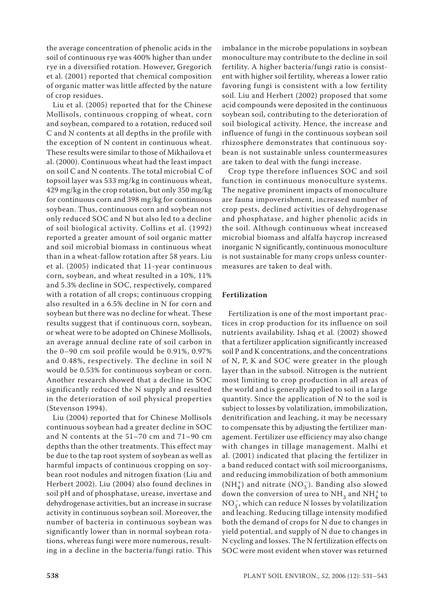the average concentration of phenolic acids in the soil of continuous rye was 400% higher than under rye in a diversified rotation. However, Gregorich et al. (2001) reported that chemical composition of organic matter was little affected by the nature of crop residues.

Liu et al. (2005) reported that for the Chinese Mollisols, continuous cropping of wheat, corn and soybean, compared to a rotation, reduced soil C and N contents at all depths in the profile with the exception of N content in continuous wheat. These results were similar to those of Mikhailova et al. (2000). Continuous wheat had the least impact on soil C and N contents. The total microbial C of topsoil layer was 533 mg/kg in continuous wheat, 429 mg/kg in the crop rotation, but only 350 mg/kg for continuous corn and 398 mg/kg for continuous soybean. Thus, continuous corn and soybean not only reduced SOC and N but also led to a decline of soil biological activity. Collins et al. (1992) reported a greater amount of soil organic matter and soil microbial biomass in continuous wheat than in a wheat-fallow rotation after 58 years. Liu et al. (2005) indicated that 11-year continuous corn, soybean, and wheat resulted in a 10%, 11% and 5.3% decline in SOC, respectively, compared with a rotation of all crops; continuous cropping also resulted in a 6.5% decline in N for corn and soybean but there was no decline for wheat. These results suggest that if continuous corn, soybean, or wheat were to be adopted on Chinese Mollisols, an average annual decline rate of soil carbon in the 0–90 cm soil profile would be 0.91%, 0.97% and 0.48%, respectively. The decline in soil N would be 0.53% for continuous soybean or corn. Another research showed that a decline in SOC significantly reduced the N supply and resulted in the deterioration of soil physical properties (Stevenson 1994).

Liu (2004) reported that for Chinese Mollisols continuous soybean had a greater decline in SOC and N contents at the 51–70 cm and 71–90 cm depths than the other treatments. This effect may be due to the tap root system of soybean as well as harmful impacts of continuous cropping on soybean root nodules and nitrogen fixation (Liu and Herbert 2002). Liu (2004) also found declines in soil pH and of phosphatase, urease, invertase and dehydrogenase activities, but an increase in sucrase activity in continuous soybean soil. Moreover, the number of bacteria in continuous soybean was significantly lower than in normal soybean rotations, whereas fungi were more numerous, resulting in a decline in the bacteria/fungi ratio. This imbalance in the microbe populations in soybean monoculture may contribute to the decline in soil fertility. A higher bacteria/fungi ratio is consistent with higher soil fertility, whereas a lower ratio favoring fungi is consistent with a low fertility soil. Liu and Herbert (2002) proposed that some acid compounds were deposited in the continuous soybean soil, contributing to the deterioration of soil biological activity. Hence, the increase and influence of fungi in the continuous soybean soil rhizosphere demonstrates that continuous soybean is not sustainable unless countermeasures are taken to deal with the fungi increase.

Crop type therefore influences SOC and soil function in continuous monoculture systems. The negative prominent impacts of monoculture are fauna impoverishment, increased number of crop pests, declined activities of dehydrogenase and phosphatase, and higher phenolic acids in the soil. Although continuous wheat increased microbial biomass and alfalfa haycrop increased inorganic N significantly, continuous monoculture is not sustainable for many crops unless countermeasures are taken to deal with.

### **Fertilization**

Fertilization is one of the most important practices in crop production for its influence on soil nutrients availability. Ishaq et al. (2002) showed that a fertilizer application significantly increased soil P and K concentrations, and the concentrations of N, P, K and SOC were greater in the plough layer than in the subsoil. Nitrogen is the nutrient most limiting to crop production in all areas of the world and is generally applied to soil in a large quantity. Since the application of N to the soil is subject to losses by volatilization, immobilization, denitrification and leaching, it may be necessary to compensate this by adjusting the fertilizer management. Fertilizer use efficiency may also change with changes in tillage management. Malhi et al. (2001) indicated that placing the fertilizer in a band reduced contact with soil microorganisms, and reducing immobilization of both ammonium  $(NH_4^+)$  and nitrate  $(NO_3^-)$ . Banding also slowed down the conversion of urea to  $NH_3$  and  $NH_4^+$  to  $NO<sub>3</sub><sup>-</sup>$ , which can reduce N losses by volatilization and leaching. Reducing tillage intensity modified both the demand of crops for N due to changes in yield potential, and supply of N due to changes in N cycling and losses. The N fertilization effects on SOC were most evident when stover was returned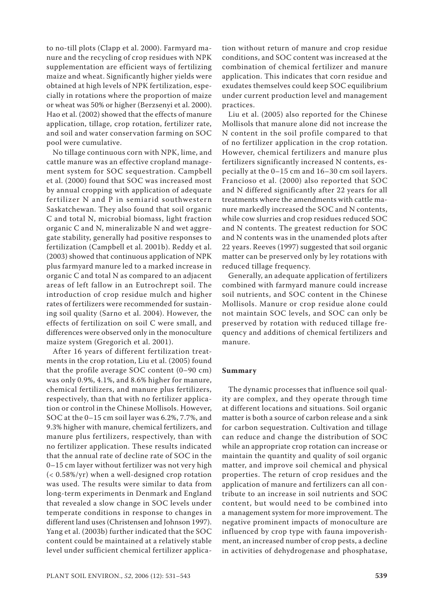to no-till plots (Clapp et al. 2000). Farmyard manure and the recycling of crop residues with NPK supplementation are efficient ways of fertilizing maize and wheat. Significantly higher yields were obtained at high levels of NPK fertilization, especially in rotations where the proportion of maize or wheat was 50% or higher (Berzsenyi et al. 2000). Hao et al. (2002) showed that the effects of manure application, tillage, crop rotation, fertilizer rate, and soil and water conservation farming on SOC pool were cumulative.

No tillage continuous corn with NPK, lime, and cattle manure was an effective cropland management system for SOC sequestration. Campbell et al. (2000) found that SOC was increased most by annual cropping with application of adequate fertilizer N and P in semiarid southwestern Saskatchewan. They also found that soil organic C and total N, microbial biomass, light fraction organic C and N, mineralizable N and wet aggregate stability, generally had positive responses to fertilization (Campbell et al. 2001b). Reddy et al. (2003) showed that continuous application of NPK plus farmyard manure led to a marked increase in organic C and total N as compared to an adjacent areas of left fallow in an Eutrochrept soil. The introduction of crop residue mulch and higher rates of fertilizers were recommended for sustaining soil quality (Sarno et al. 2004). However, the effects of fertilization on soil C were small, and differences were observed only in the monoculture maize system (Gregorich et al. 2001).

After 16 years of different fertilization treatments in the crop rotation, Liu et al. (2005) found that the profile average SOC content (0–90 cm) was only 0.9%, 4.1%, and 8.6% higher for manure, chemical fertilizers, and manure plus fertilizers, respectively, than that with no fertilizer application or control in the Chinese Mollisols. However, SOC at the 0–15 cm soil layer was 6.2%, 7.7%, and 9.3% higher with manure, chemical fertilizers, and manure plus fertilizers, respectively, than with no fertilizer application. These results indicated that the annual rate of decline rate of SOC in the 0–15 cm layer without fertilizer was not very high (< 0.58%/yr) when a well-designed crop rotation was used. The results were similar to data from long-term experiments in Denmark and England that revealed a slow change in SOC levels under temperate conditions in response to changes in different land uses (Christensen and Johnson 1997). Yang et al. (2003b) further indicated that the SOC content could be maintained at a relatively stable level under sufficient chemical fertilizer application without return of manure and crop residue conditions, and SOC content was increased at the combination of chemical fertilizer and manure application. This indicates that corn residue and exudates themselves could keep SOC equilibrium under current production level and management practices.

Liu et al. (2005) also reported for the Chinese Mollisols that manure alone did not increase the N content in the soil profile compared to that of no fertilizer application in the crop rotation. However, chemical fertilizers and manure plus fertilizers significantly increased N contents, especially at the 0–15 cm and 16–30 cm soil layers. Francioso et al. (2000) also reported that SOC and N differed significantly after 22 years for all treatments where the amendments with cattle manure markedly increased the SOC and N contents, while cow slurries and crop residues reduced SOC and N contents. The greatest reduction for SOC and N contents was in the unamended plots after 22 years. Reeves (1997) suggested that soil organic matter can be preserved only by ley rotations with reduced tillage frequency.

Generally, an adequate application of fertilizers combined with farmyard manure could increase soil nutrients, and SOC content in the Chinese Mollisols. Manure or crop residue alone could not maintain SOC levels, and SOC can only be preserved by rotation with reduced tillage frequency and additions of chemical fertilizers and manure.

#### **Summary**

The dynamic processes that influence soil quality are complex, and they operate through time at different locations and situations. Soil organic matter is both a source of carbon release and a sink for carbon sequestration. Cultivation and tillage can reduce and change the distribution of SOC while an appropriate crop rotation can increase or maintain the quantity and quality of soil organic matter, and improve soil chemical and physical properties. The return of crop residues and the application of manure and fertilizers can all contribute to an increase in soil nutrients and SOC content, but would need to be combined into a management system for more improvement. The negative prominent impacts of monoculture are influenced by crop type with fauna impoverishment, an increased number of crop pests, a decline in activities of dehydrogenase and phosphatase,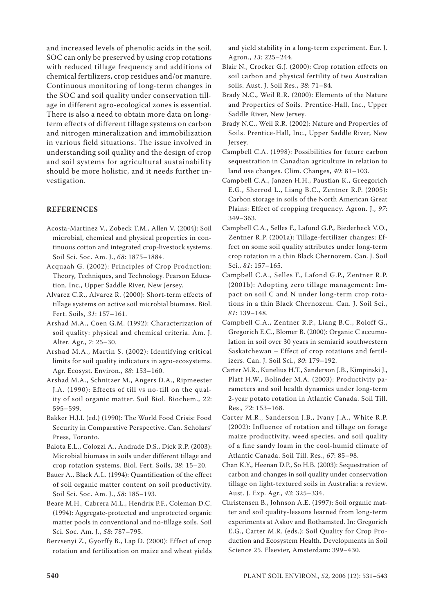and increased levels of phenolic acids in the soil. SOC can only be preserved by using crop rotations with reduced tillage frequency and additions of chemical fertilizers, crop residues and/or manure. Continuous monitoring of long-term changes in the SOC and soil quality under conservation tillage in different agro-ecological zones is essential. There is also a need to obtain more data on longterm effects of different tillage systems on carbon and nitrogen mineralization and immobilization in various field situations. The issue involved in understanding soil quality and the design of crop and soil systems for agricultural sustainability should be more holistic, and it needs further investigation.

## **REFERENCES**

- Acosta-Martinez V., Zobeck T.M., Allen V. (2004): Soil microbial, chemical and physical properties in continuous cotton and integrated crop-livestock systems. Soil Sci. Soc. Am. J., *68*: 1875–1884.
- Acquaah G. (2002): Principles of Crop Production: Theory, Techniques, and Technology. Pearson Education, Inc., Upper Saddle River, New Jersey.
- Alvarez C.R., Alvarez R. (2000): Short-term effects of tillage systems on active soil microbial biomass. Biol. Fert. Soils, *31*: 157–161.
- Arshad M.A., Coen G.M. (1992): Characterization of soil quality: physical and chemical criteria. Am. J. Alter. Agr., *7*: 25–30.
- Arshad M.A., Martin S. (2002): Identifying critical limits for soil quality indicators in agro-ecosystems. Agr. Ecosyst. Environ., *88*: 153–160.
- Arshad M.A., Schnitzer M., Angers D.A., Ripmeester J.A. (1990): Effects of till vs no-till on the quality of soil organic matter. Soil Biol. Biochem., *22*: 595–599.
- Bakker H.J.I. (ed.) (1990): The World Food Crisis: Food Security in Comparative Perspective. Can. Scholars' Press, Toronto.
- Balota E.L., Colozzi A., Andrade D.S., Dick R.P. (2003): Microbial biomass in soils under different tillage and crop rotation systems. Biol. Fert. Soils, *38*: 15–20.
- Bauer A., Black A.L. (1994): Quantification of the effect of soil organic matter content on soil productivity. Soil Sci. Soc. Am. J., *58*: 185–193.
- Beare M.H., Cabrera M.L., Hendrix P.F., Coleman D.C. (1994): Aggregate-protected and unprotected organic matter pools in conventional and no-tillage soils. Soil Sci. Soc. Am. J., *58*: 787–795.
- Berzsenyi Z., Gyorffy B., Lap D. (2000): Effect of crop rotation and fertilization on maize and wheat yields

and yield stability in a long-term experiment. Eur. J. Agron., *13*: 225–244.

- Blair N., Crocker G.J. (2000): Crop rotation effects on soil carbon and physical fertility of two Australian soils. Aust. J. Soil Res., *38*: 71–84.
- Brady N.C., Weil R.R. (2000): Elements of the Nature and Properties of Soils. Prentice-Hall, Inc., Upper Saddle River, New Jersey.
- Brady N.C., Weil R.R. (2002): Nature and Properties of Soils. Prentice-Hall, Inc., Upper Saddle River, New Jersey.
- Campbell C.A. (1998): Possibilities for future carbon sequestration in Canadian agriculture in relation to land use changes. Clim. Changes, *40*: 81–103.
- Campbell C.A., Janzen H.H., Paustian K., Greegorich E.G., Sherrod L., Liang B.C., Zentner R.P. (2005): Carbon storage in soils of the North American Great Plains: Effect of cropping frequency. Agron. J., *97*: 349–363.
- Campbell C.A., Selles F., Lafond G.P., Biederbeck V.O., Zentner R.P. (2001a): Tillage-fertilizer changes: Effect on some soil quality attributes under long-term crop rotation in a thin Black Chernozem. Can. J. Soil Sci., *81*: 157–165.
- Campbell C.A., Selles F., Lafond G.P., Zentner R.P. (2001b): Adopting zero tillage management: Impact on soil C and N under long-term crop rotations in a thin Black Chernozem. Can. J. Soil Sci., *81*: 139–148.
- Campbell C.A., Zentner R.P., Liang B.C., Roloff G., Gregorich E.C., Blomer B. (2000): Organic C accumulation in soil over 30 years in semiarid southwestern Saskatchewan – Effect of crop rotations and fertilizers. Can. J. Soil Sci., *80*: 179–192.
- Carter M.R., Kunelius H.T., Sanderson J.B., Kimpinski J., Platt H.W., Bolinder M.A. (2003): Productivity parameters and soil health dynamics under long-term 2-year potato rotation in Atlantic Canada. Soil Till. Res., *72*: 153–168.
- Carter M.R., Sanderson J.B., Ivany J.A., White R.P. (2002): Influence of rotation and tillage on forage maize productivity, weed species, and soil quality of a fine sandy loam in the cool-humid climate of Atlantic Canada. Soil Till. Res., *67*: 85–98.
- Chan K.Y., Heenan D.P., So H.B. (2003): Sequestration of carbon and changes in soil quality under conservation tillage on light-textured soils in Australia: a review. Aust. J. Exp. Agr., *43*: 325–334.
- Christensen B., Johnson A.E. (1997): Soil organic matter and soil quality-lessons learned from long-term experiments at Askov and Rothamsted. In: Gregorich E.G., Carter M.R. (eds.): Soil Quality for Crop Production and Ecosystem Health. Developments in Soil Science 25. Elsevier, Amsterdam: 399–430.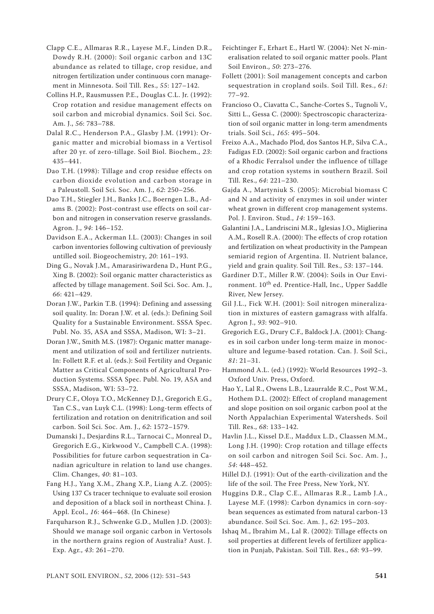Clapp C.E., Allmaras R.R., Layese M.F., Linden D.R., Dowdy R.H. (2000): Soil organic carbon and 13C abundance as related to tillage, crop residue, and nitrogen fertilization under continuous corn management in Minnesota. Soil Till. Res., *55*: 127–142.

Collins H.P., Rausmussen P.E., Douglas C.L. Jr. (1992): Crop rotation and residue management effects on soil carbon and microbial dynamics. Soil Sci. Soc. Am. J., *56*: 783–788.

Dalal R.C., Henderson P.A., Glasby J.M. (1991): Organic matter and microbial biomass in a Vertisol after 20 yr. of zero-tillage. Soil Biol. Biochem., *23*: 435–441.

Dao T.H. (1998): Tillage and crop residue effects on carbon dioxide evolution and carbon storage in a Paleustoll. Soil Sci. Soc. Am. J., *62*: 250–256.

Dao T.H., Stiegler J.H., Banks J.C., Boerngen L.B., Adams B. (2002): Post-contrast use effects on soil carbon and nitrogen in conservation reserve grasslands. Agron. J., *94*: 146–152.

Davidson E.A., Ackerman I.L. (2003): Changes in soil carbon inventories following cultivation of previously untilled soil. Biogeochemistry, *20*: 161–193.

Ding G., Novak J.M., Amarasiriwardena D., Hunt P.G., Xing B. (2002): Soil organic matter characteristics as affected by tillage management. Soil Sci. Soc. Am. J., *66*: 421–429.

Doran J.W., Parkin T.B. (1994): Defining and assessing soil quality. In: Doran J.W. et al. (eds.): Defining Soil Quality for a Sustainable Environment. SSSA Spec. Publ. No. 35, ASA and SSSA, Madison, WI: 3–21.

Doran J.W., Smith M.S. (1987): Organic matter management and utilization of soil and fertilizer nutrients. In: Follett R.F. et al. (eds.): Soil Fertility and Organic Matter as Critical Components of Agricultural Production Systems. SSSA Spec. Publ. No. 19, ASA and SSSA, Madison, WI: 53–72.

Drury C.F., Oloya T.O., McKenney D.J., Gregorich E.G., Tan C.S., van Luyk C.L. (1998): Long-term effects of fertilization and rotation on denitrification and soil carbon. Soil Sci. Soc. Am. J., *62*: 1572–1579.

Dumanski J., Desjardins R.L., Tarnocai C., Monreal D., Gregorich E.G., Kirkwood V., Campbell C.A. (1998): Possibilities for future carbon sequestration in Canadian agriculture in relation to land use changes. Clim. Changes, *40*: 81–103.

Fang H.J., Yang X.M., Zhang X.P., Liang A.Z. (2005): Using 137 Cs tracer technique to evaluate soil erosion and deposition of a black soil in northeast China. J. Appl. Ecol., *16*: 464–468. (In Chinese)

Farquharson R.J., Schwenke G.D., Mullen J.D. (2003): Should we manage soil organic carbon in Vertosols in the northern grains region of Australia? Aust. J. Exp. Agr., *43*: 261–270.

Feichtinger F., Erhart E., Hartl W. (2004): Net N-mineralisation related to soil organic matter pools. Plant Soil Environ., *50*: 273–276.

Follett (2001): Soil management concepts and carbon sequestration in cropland soils. Soil Till. Res., *61*: 77–92.

Francioso O., Ciavatta C., Sanche-Cortes S., Tugnoli V., Sitti L., Gessa C. (2000): Spectroscopic characterization of soil organic matter in long-term amendments trials. Soil Sci., *165*: 495–504.

Freixo A.A., Machado Plod, dos Santos H.P., Silva C.A., Fadigas F.D. (2002): Soil organic carbon and fractions of a Rhodic Ferralsol under the influence of tillage and crop rotation systems in southern Brazil. Soil Till. Res., *64*: 221–230.

Gajda A., Martyniuk S. (2005): Microbial biomass C and N and activity of enzymes in soil under winter wheat grown in different crop management systems. Pol. J. Environ. Stud., *14*: 159–163.

Galantini J.A., Landriscini M.R., Iglesias J.O., Miglierina A.M., Rosell R.A. (2000): The effects of crop rotation and fertilization on wheat productivity in the Pampean semiarid region of Argentina. II. Nutrient balance, yield and grain quality. Soil Till. Res., *53*: 137–144.

Gardiner D.T., Miller R.W. (2004): Soils in Our Environment. 10<sup>th</sup> ed. Prentice-Hall, Inc., Upper Saddle River, New Jersey.

Gil J.L., Fick W.H. (2001): Soil nitrogen mineralization in mixtures of eastern gamagrass with alfalfa. Agron J., *93*: 902–910.

Gregorich E.G., Drury C.F., Baldock J.A. (2001): Changes in soil carbon under long-term maize in monoculture and legume-based rotation. Can. J. Soil Sci., *81*: 21–31.

Hammond A.L. (ed.) (1992): World Resources 1992–3. Oxford Univ. Press, Oxford.

Hao Y., Lal R., Owens L.B., Lzaurralde R.C., Post W.M., Hothem D.L. (2002): Effect of cropland management and slope position on soil organic carbon pool at the North Appalachian Experimental Watersheds. Soil Till. Res., *68*: 133–142.

Havlin J.L., Kissel D.E., Maddux L.D., Claassen M.M., Long J.H. (1990): Crop rotation and tillage effects on soil carbon and nitrogen Soil Sci. Soc. Am. J., *54*: 448–452.

Hillel D.J. (1991): Out of the earth-civilization and the life of the soil. The Free Press, New York, NY.

Huggins D.R., Clap C.E., Allmaras R.R., Lamb J.A., Layese M.F. (1998): Carbon dynamics in corn-soybean sequences as estimated from natural carbon-13 abundance. Soil Sci. Soc. Am. J., *62*: 195–203.

Ishaq M., Ibrahim M., Lal R. (2002): Tillage effects on soil properties at different levels of fertilizer application in Punjab, Pakistan. Soil Till. Res., *68*: 93–99.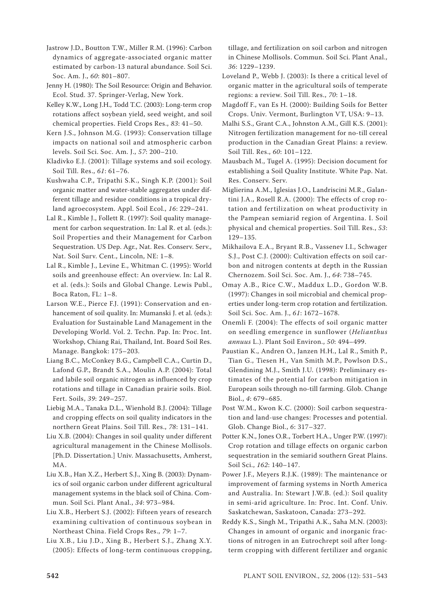Jastrow J.D., Boutton T.W., Miller R.M. (1996): Carbon dynamics of aggregate-associated organic matter estimated by carbon-13 natural abundance. Soil Sci. Soc. Am. J., *60*: 801–807.

Jenny H. (1980): The Soil Resource: Origin and Behavior. Ecol. Stud. 37. Springer-Verlag, New York.

Kelley K.W., Long J.H., Todd T.C. (2003): Long-term crop rotations affect soybean yield, seed weight, and soil chemical properties. Field Crops Res., *83*: 41–50.

Kern J.S., Johnson M.G. (1993): Conservation tillage impacts on national soil and atmospheric carbon levels. Soil Sci. Soc. Am. J., *57*: 200–210.

Kladivko E.J. (2001): Tillage systems and soil ecology. Soil Till. Res., *61*: 61–76.

Kushwaha C.P., Tripathi S.K., Singh K.P. (2001): Soil organic matter and water-stable aggregates under different tillage and residue conditions in a tropical dryland agroecosystem. Appl. Soil Ecol., *16*: 229–241.

Lal R., Kimble J., Follett R. (1997): Soil quality management for carbon sequestration. In: Lal R. et al. (eds.): Soil Properties and their Management for Carbon Sequestration. US Dep. Agr., Nat. Res. Conserv. Serv., Nat. Soil Surv. Cent., Lincoln, NE: 1–8.

Lal R., Kimble J., Levine E., Whitman C. (1995): World soils and greenhouse effect: An overview. In: Lal R. et al. (eds.): Soils and Global Change. Lewis Publ., Boca Raton, FL: 1–8.

Larson W.E., Pierce F.J. (1991): Conservation and enhancement of soil quality. In: Mumanski J. et al. (eds.): Evaluation for Sustainable Land Management in the Developing World. Vol. 2. Techn. Pap. In: Proc. Int. Workshop, Chiang Rai, Thailand, Int. Board Soil Res. Manage. Bangkok: 175–203.

Liang B.C., McConkey B.G., Campbell C.A., Curtin D., Lafond G.P., Brandt S.A., Moulin A.P. (2004): Total and labile soil organic nitrogen as influenced by crop rotations and tillage in Canadian prairie soils. Biol. Fert. Soils, *39*: 249–257.

Liebig M.A., Tanaka D.L., Wienhold B.J. (2004): Tillage and cropping effects on soil quality indicators in the northern Great Plains. Soil Till. Res., *78*: 131–141.

Liu X.B. (2004): Changes in soil quality under different agricultural management in the Chinese Mollisols. [Ph.D. Dissertation.] Univ. Massachusetts, Amherst, MA.

Liu X.B., Han X.Z., Herbert S.J., Xing B. (2003): Dynamics of soil organic carbon under different agricultural management systems in the black soil of China. Commun. Soil Sci. Plant Anal., *34*: 973–984.

Liu X.B., Herbert S.J. (2002): Fifteen years of research examining cultivation of continuous soybean in Northeast China. Field Crops Res., *79*: 1–7.

Liu X.B., Liu J.D., Xing B., Herbert S.J., Zhang X.Y. (2005): Effects of long-term continuous cropping, tillage, and fertilization on soil carbon and nitrogen in Chinese Mollisols. Commun. Soil Sci. Plant Anal., *36*: 1229–1239.

Loveland P., Webb J. (2003): Is there a critical level of organic matter in the agricultural soils of temperate regions: a review. Soil Till. Res., *70*: 1–18.

Magdoff F., van Es H. (2000): Building Soils for Better Crops. Univ. Vermont, Burlington VT, USA: 9–13.

Malhi S.S., Grant C.A., Johnston A.M., Gill K.S. (2001): Nitrogen fertilization management for no-till cereal production in the Canadian Great Plains: a review. Soil Till. Res., *60*: 101–122.

Mausbach M., Tugel A. (1995): Decision document for establishing a Soil Quality Institute. White Pap. Nat. Res. Conserv. Serv.

Miglierina A.M., Iglesias J.O., Landriscini M.R., Galantini J.A., Rosell R.A. (2000): The effects of crop rotation and fertilization on wheat productivity in the Pampean semiarid region of Argentina. I. Soil physical and chemical properties. Soil Till. Res., *53*: 129–135.

Mikhailova E.A., Bryant R.B., Vassenev I.I., Schwager S.J., Post C.J. (2000): Cultivation effects on soil carbon and nitrogen contents at depth in the Russian Chernozem. Soil Sci. Soc. Am. J., *64*: 738–745.

Omay A.B., Rice C.W., Maddux L.D., Gordon W.B. (1997): Changes in soil microbial and chemical properties under long-term crop rotation and fertilization. Soil Sci. Soc. Am. J., *61*: 1672–1678.

Onemli F. (2004): The effects of soil organic matter on seedling emergence in sunflower (*Helianthus annuus* L.). Plant Soil Environ., *50*: 494–499.

Paustian K., Andren O., Janzen H.H., Lal R., Smith P., Tian G., Tiesen H., Van Smith M.P., Powlson D.S., Glendining M.J., Smith J.U. (1998): Preliminary estimates of the potential for carbon mitigation in European soils through no-till farming. Glob. Change Biol., *4*: 679–685.

Post W.M., Kwon K.C. (2000): Soil carbon sequestration and land-use changes: Processes and potential. Glob. Change Biol., *6*: 317–327.

Potter K.N., Jones O.R., Torbert H.A., Unger P.W. (1997): Crop rotation and tillage effects on organic carbon sequestration in the semiarid southern Great Plains. Soil Sci., *162*: 140–147.

Power J.F., Meyers R.J.K. (1989): The maintenance or improvement of farming systems in North America and Australia. In: Stewart J.W.B. (ed.): Soil quality in semi-arid agriculture. In: Proc. Int. Conf. Univ. Saskatchewan, Saskatoon, Canada: 273–292.

Reddy K.S., Singh M., Tripathi A.K., Saha M.N. (2003): Changes in amount of organic and inorganic fractions of nitrogen in an Eutrochrept soil after longterm cropping with different fertilizer and organic

**542** PLANT SOIL ENVIRON., *52*, 2006 (12): 531–543